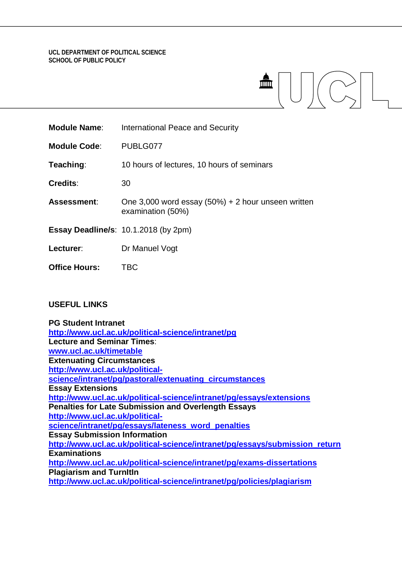#### **UCL DEPARTMENT OF POLITICAL SCIENCE SCHOOL OF PUBLIC POLICY**

| <b>Module Name:</b>  | International Peace and Security                                           |
|----------------------|----------------------------------------------------------------------------|
| <b>Module Code:</b>  | PUBLG077                                                                   |
| Teaching:            | 10 hours of lectures, 10 hours of seminars                                 |
| <b>Credits:</b>      | 30                                                                         |
| <b>Assessment:</b>   | One 3,000 word essay $(50\%) + 2$ hour unseen written<br>examination (50%) |
|                      | <b>Essay Deadline/s: 10.1.2018 (by 2pm)</b>                                |
| Lecturer:            | Dr Manuel Vogt                                                             |
| <b>Office Hours:</b> | <b>TBC</b>                                                                 |
|                      |                                                                            |

### **USEFUL LINKS**

| <b>PG Student Intranet</b>                                                  |
|-----------------------------------------------------------------------------|
| http://www.ucl.ac.uk/political-science/intranet/pg                          |
| <b>Lecture and Seminar Times:</b>                                           |
| www.ucl.ac.uk/timetable                                                     |
| <b>Extenuating Circumstances</b>                                            |
| http://www.ucl.ac.uk/political-                                             |
| science/intranet/pg/pastoral/extenuating_circumstances                      |
| <b>Essay Extensions</b>                                                     |
| http://www.ucl.ac.uk/political-science/intranet/pg/essays/extensions        |
| <b>Penalties for Late Submission and Overlength Essays</b>                  |
| http://www.ucl.ac.uk/political-                                             |
| science/intranet/pg/essays/lateness word penalties                          |
| <b>Essay Submission Information</b>                                         |
| http://www.ucl.ac.uk/political-science/intranet/pg/essays/submission return |
| <b>Examinations</b>                                                         |
| http://www.ucl.ac.uk/political-science/intranet/pg/exams-dissertations      |
| <b>Plagiarism and Turnitin</b>                                              |
| http://www.ucl.ac.uk/political-science/intranet/pg/policies/plagiarism      |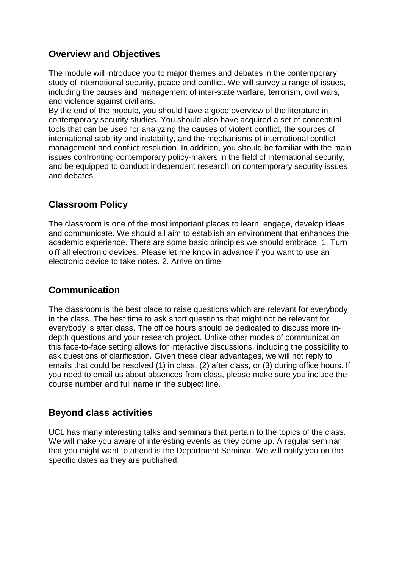# **Overview and Objectives**

The module will introduce you to major themes and debates in the contemporary study of international security, peace and conflict. We will survey a range of issues, including the causes and management of inter-state warfare, terrorism, civil wars, and violence against civilians.

By the end of the module, you should have a good overview of the literature in contemporary security studies. You should also have acquired a set of conceptual tools that can be used for analyzing the causes of violent conflict, the sources of international stability and instability, and the mechanisms of international conflict management and conflict resolution. In addition, you should be familiar with the main issues confronting contemporary policy-makers in the field of international security, and be equipped to conduct independent research on contemporary security issues and debates.

# **Classroom Policy**

The classroom is one of the most important places to learn, engage, develop ideas, and communicate. We should all aim to establish an environment that enhances the academic experience. There are some basic principles we should embrace: 1. Turn o ff all electronic devices. Please let me know in advance if you want to use an electronic device to take notes. 2. Arrive on time.

# **Communication**

The classroom is the best place to raise questions which are relevant for everybody in the class. The best time to ask short questions that might not be relevant for everybody is after class. The office hours should be dedicated to discuss more indepth questions and your research project. Unlike other modes of communication, this face-to-face setting allows for interactive discussions, including the possibility to ask questions of clarification. Given these clear advantages, we will not reply to emails that could be resolved (1) in class, (2) after class, or (3) during office hours. If you need to email us about absences from class, please make sure you include the course number and full name in the subject line.

# **Beyond class activities**

UCL has many interesting talks and seminars that pertain to the topics of the class. We will make you aware of interesting events as they come up. A regular seminar that you might want to attend is the Department Seminar. We will notify you on the specific dates as they are published.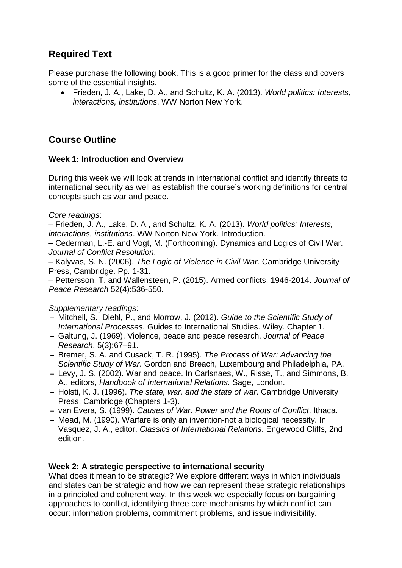# **Required Text**

Please purchase the following book. This is a good primer for the class and covers some of the essential insights.

• Frieden, J. A., Lake, D. A., and Schultz, K. A. (2013). *World politics: Interests, interactions, institutions*. WW Norton New York.

# **Course Outline**

#### **Week 1: Introduction and Overview**

During this week we will look at trends in international conflict and identify threats to international security as well as establish the course's working definitions for central concepts such as war and peace.

*Core readings*:

– Frieden, J. A., Lake, D. A., and Schultz, K. A. (2013). *World politics: Interests, interactions, institutions*. WW Norton New York. Introduction.

– Cederman, L.-E. and Vogt, M. (Forthcoming). Dynamics and Logics of Civil War. *Journal of Conflict Resolution*.

– Kalyvas, S. N. (2006). *The Logic of Violence in Civil War*. Cambridge University Press, Cambridge. Pp. 1-31.

– Pettersson, T. and Wallensteen, P. (2015). Armed conflicts, 1946-2014. *Journal of Peace Research* 52(4):536-550.

*Supplementary readings*:

- **–** Mitchell, S., Diehl, P., and Morrow, J. (2012). *Guide to the Scientific Study of International Processes*. Guides to International Studies. Wiley. Chapter 1.
- **–** Galtung, J. (1969). Violence, peace and peace research. *Journal of Peace Research*, 5(3):67–91.
- **–** Bremer, S. A. and Cusack, T. R. (1995). *The Process of War: Advancing the Scientific Study of War*. Gordon and Breach, Luxembourg and Philadelphia, PA.
- **–** Levy, J. S. (2002). War and peace. In Carlsnaes, W., Risse, T., and Simmons, B. A., editors, *Handbook of International Relations*. Sage, London.
- **–** Holsti, K. J. (1996). *The state, war, and the state of war*. Cambridge University Press, Cambridge (Chapters 1-3).
- **–** van Evera, S. (1999). *Causes of War. Power and the Roots of Conflict*. Ithaca.
- **–** Mead, M. (1990). Warfare is only an invention-not a biological necessity. In Vasquez, J. A., editor, *Classics of International Relations*. Engewood Cliffs, 2nd edition.

#### **Week 2: A strategic perspective to international security**

What does it mean to be strategic? We explore different ways in which individuals and states can be strategic and how we can represent these strategic relationships in a principled and coherent way. In this week we especially focus on bargaining approaches to conflict, identifying three core mechanisms by which conflict can occur: information problems, commitment problems, and issue indivisibility.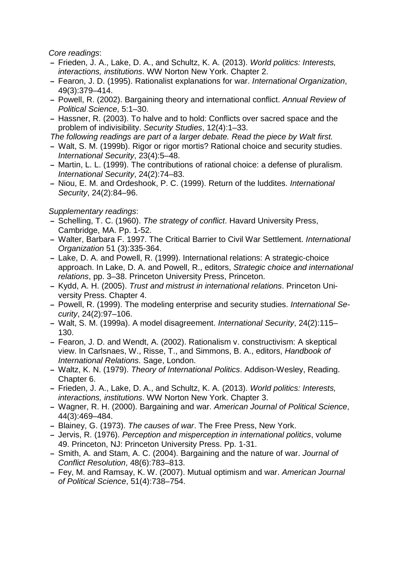*Core readings*:

- **–** Frieden, J. A., Lake, D. A., and Schultz, K. A. (2013). *World politics: Interests, interactions, institutions*. WW Norton New York. Chapter 2.
- **–** Fearon, J. D. (1995). Rationalist explanations for war. *International Organization*, 49(3):379–414.
- **–** Powell, R. (2002). Bargaining theory and international conflict. *Annual Review of Political Science*, 5:1–30.
- **–** Hassner, R. (2003). To halve and to hold: Conflicts over sacred space and the problem of indivisibility. *Security Studies*, 12(4):1–33.

*The following readings are part of a larger debate. Read the piece by Walt first.*

- **–** Walt, S. M. (1999b). Rigor or rigor mortis? Rational choice and security studies. *International Security*, 23(4):5–48.
- **–** Martin, L. L. (1999). The contributions of rational choice: a defense of pluralism. *International Security*, 24(2):74–83.
- **–** Niou, E. M. and Ordeshook, P. C. (1999). Return of the luddites. *International Security*, 24(2):84–96.

- **–** Schelling, T. C. (1960). *The strategy of conflict*. Havard University Press, Cambridge, MA. Pp. 1-52.
- **–** Walter, Barbara F. 1997. The Critical Barrier to Civil War Settlement. *International Organization* 51 (3):335-364.
- **–** Lake, D. A. and Powell, R. (1999). International relations: A strategic-choice approach. In Lake, D. A. and Powell, R., editors, *Strategic choice and international relations*, pp. 3–38. Princeton University Press, Princeton.
- **–** Kydd, A. H. (2005). *Trust and mistrust in international relations*. Princeton University Press. Chapter 4.
- **–** Powell, R. (1999). The modeling enterprise and security studies. *International Security*, 24(2):97–106.
- **–** Walt, S. M. (1999a). A model disagreement. *International Security*, 24(2):115– 130.
- **–** Fearon, J. D. and Wendt, A. (2002). Rationalism v. constructivism: A skeptical view. In Carlsnaes, W., Risse, T., and Simmons, B. A., editors, *Handbook of International Relations*. Sage, London.
- **–** Waltz, K. N. (1979). *Theory of International Politics*. Addison-Wesley, Reading. Chapter 6.
- **–** Frieden, J. A., Lake, D. A., and Schultz, K. A. (2013). *World politics: Interests, interactions, institutions*. WW Norton New York. Chapter 3.
- **–** Wagner, R. H. (2000). Bargaining and war. *American Journal of Political Science*, 44(3):469–484.
- **–** Blainey, G. (1973). *The causes of war*. The Free Press, New York.
- **–** Jervis, R. (1976). *Perception and misperception in international politics*, volume 49. Princeton, NJ: Princeton University Press. Pp. 1-31.
- **–** Smith, A. and Stam, A. C. (2004). Bargaining and the nature of war. *Journal of Conflict Resolution*, 48(6):783–813.
- **–** Fey, M. and Ramsay, K. W. (2007). Mutual optimism and war. *American Journal of Political Science*, 51(4):738–754.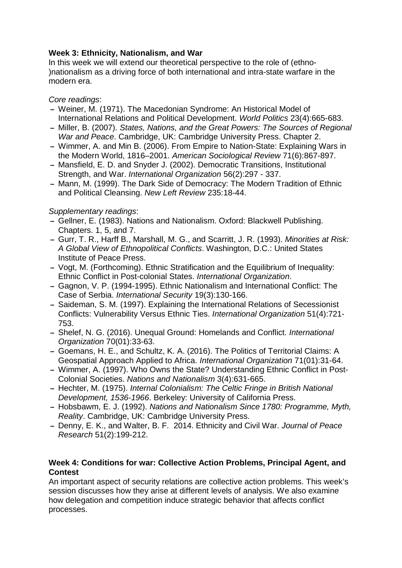### **Week 3: Ethnicity, Nationalism, and War**

In this week we will extend our theoretical perspective to the role of (ethno- )nationalism as a driving force of both international and intra-state warfare in the modern era.

### *Core readings*:

- **–** Weiner, M. (1971). The Macedonian Syndrome: An Historical Model of International Relations and Political Development. *World Politics* 23(4):665-683.
- **–** Miller, B. (2007). *States, Nations, and the Great Powers: The Sources of Regional War and Peace*. Cambridge, UK: Cambridge University Press. Chapter 2.
- **–** Wimmer, A. and Min B. (2006). From Empire to Nation-State: Explaining Wars in the Modern World, 1816–2001. *American Sociological Review* 71(6):867-897.
- **–** Mansfield, E. D. and Snyder J. (2002). Democratic Transitions, Institutional Strength, and War. *International Organization* 56(2):297 - 337.
- **–** Mann, M. (1999). The Dark Side of Democracy: The Modern Tradition of Ethnic and Political Cleansing. *New Left Review* 235:18-44.

### *Supplementary readings*:

- **–** Gellner, E. (1983). Nations and Nationalism. Oxford: Blackwell Publishing. Chapters. 1, 5, and 7.
- **–** Gurr, T. R., Harff B., Marshall, M. G., and Scarritt, J. R. (1993). *Minorities at Risk: A Global View of Ethnopolitical Conflicts*. Washington, D.C.: United States Institute of Peace Press.
- **–** Vogt, M. (Forthcoming). Ethnic Stratification and the Equilibrium of Inequality: Ethnic Conflict in Post-colonial States. *International Organization*.
- **–** Gagnon, V. P. (1994-1995). Ethnic Nationalism and International Conflict: The Case of Serbia. *International Security* 19(3):130-166.
- **–** Saideman, S. M. (1997). Explaining the International Relations of Secessionist Conflicts: Vulnerability Versus Ethnic Ties. *International Organization* 51(4):721- 753.
- **–** Shelef, N. G. (2016). Unequal Ground: Homelands and Conflict. *International Organization* 70(01):33-63.
- **–** Goemans, H. E., and Schultz, K. A. (2016). The Politics of Territorial Claims: A Geospatial Approach Applied to Africa. *International Organization* 71(01):31-64.
- **–** Wimmer, A. (1997). Who Owns the State? Understanding Ethnic Conflict in Post-Colonial Societies. *Nations and Nationalism* 3(4):631-665.
- **–** Hechter, M. (1975). *Internal Colonialism: The Celtic Fringe in British National Development, 1536-1966*. Berkeley: University of California Press.
- **–** Hobsbawm, E. J. (1992). *Nations and Nationalism Since 1780: Programme, Myth, Reality*. Cambridge, UK: Cambridge University Press.
- **–** Denny, E. K., and Walter, B. F. 2014. Ethnicity and Civil War. *Journal of Peace Research* 51(2):199-212.

#### **Week 4: Conditions for war: Collective Action Problems, Principal Agent, and Contest**

An important aspect of security relations are collective action problems. This week's session discusses how they arise at different levels of analysis. We also examine how delegation and competition induce strategic behavior that affects conflict processes.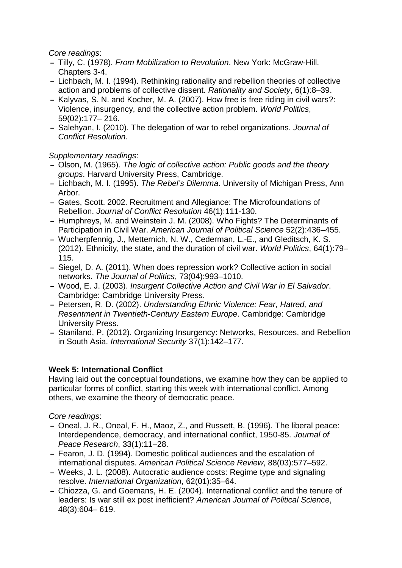#### *Core readings*:

- **–** Tilly, C. (1978). *From Mobilization to Revolution*. New York: McGraw-Hill. Chapters 3-4.
- **–** Lichbach, M. I. (1994). Rethinking rationality and rebellion theories of collective action and problems of collective dissent. *Rationality and Society*, 6(1):8–39.
- **–** Kalyvas, S. N. and Kocher, M. A. (2007). How free is free riding in civil wars?: Violence, insurgency, and the collective action problem. *World Politics*, 59(02):177– 216.
- **–** Salehyan, I. (2010). The delegation of war to rebel organizations. *Journal of Conflict Resolution*.

*Supplementary readings*:

- **–** Olson, M. (1965). *The logic of collective action: Public goods and the theory groups*. Harvard University Press, Cambridge.
- **–** Lichbach, M. I. (1995). *The Rebel's Dilemma*. University of Michigan Press, Ann Arbor.
- **–** Gates, Scott. 2002. Recruitment and Allegiance: The Microfoundations of Rebellion. *Journal of Conflict Resolution* 46(1):111-130.
- **–** Humphreys, M. and Weinstein J. M. (2008). Who Fights? The Determinants of Participation in Civil War. *American Journal of Political Science* 52(2):436–455.
- **–** Wucherpfennig, J., Metternich, N. W., Cederman, L.-E., and Gleditsch, K. S. (2012). Ethnicity, the state, and the duration of civil war. *World Politics*, 64(1):79– 115.
- **–** Siegel, D. A. (2011). When does repression work? Collective action in social networks. *The Journal of Politics*, 73(04):993–1010.
- **–** Wood, E. J. (2003). *Insurgent Collective Action and Civil War in El Salvador*. Cambridge: Cambridge University Press.
- **–** Petersen, R. D. (2002). *Understanding Ethnic Violence: Fear, Hatred, and Resentment in Twentieth-Century Eastern Europe*. Cambridge: Cambridge University Press.
- **–** Staniland, P. (2012). Organizing Insurgency: Networks, Resources, and Rebellion in South Asia. *International Security* 37(1):142–177.

#### **Week 5: International Conflict**

Having laid out the conceptual foundations, we examine how they can be applied to particular forms of conflict, starting this week with international conflict. Among others, we examine the theory of democratic peace.

#### *Core readings*:

- **–** Oneal, J. R., Oneal, F. H., Maoz, Z., and Russett, B. (1996). The liberal peace: Interdependence, democracy, and international conflict, 1950-85. *Journal of Peace Research*, 33(1):11–28.
- **–** Fearon, J. D. (1994). Domestic political audiences and the escalation of international disputes. *American Political Science Review*, 88(03):577–592.
- **–** Weeks, J. L. (2008). Autocratic audience costs: Regime type and signaling resolve. *International Organization*, 62(01):35–64.
- **–** Chiozza, G. and Goemans, H. E. (2004). International conflict and the tenure of leaders: Is war still ex post inefficient? *American Journal of Political Science*, 48(3):604– 619.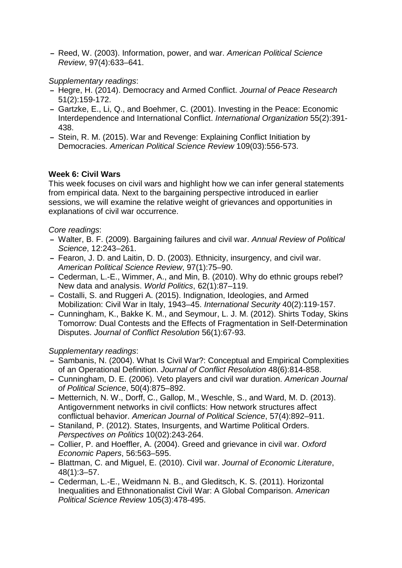**–** Reed, W. (2003). Information, power, and war. *American Political Science Review*, 97(4):633–641.

#### *Supplementary readings*:

- **–** Hegre, H. (2014). Democracy and Armed Conflict. *Journal of Peace Research* 51(2):159-172.
- **–** Gartzke, E., Li, Q., and Boehmer, C. (2001). Investing in the Peace: Economic Interdependence and International Conflict. *International Organization* 55(2):391- 438.
- **–** Stein, R. M. (2015). War and Revenge: Explaining Conflict Initiation by Democracies. *American Political Science Review* 109(03):556-573.

#### **Week 6: Civil Wars**

This week focuses on civil wars and highlight how we can infer general statements from empirical data. Next to the bargaining perspective introduced in earlier sessions, we will examine the relative weight of grievances and opportunities in explanations of civil war occurrence.

#### *Core readings*:

- **–** Walter, B. F. (2009). Bargaining failures and civil war. *Annual Review of Political Science*, 12:243–261.
- **–** Fearon, J. D. and Laitin, D. D. (2003). Ethnicity, insurgency, and civil war. *American Political Science Review*, 97(1):75–90.
- **–** Cederman, L.-E., Wimmer, A., and Min, B. (2010). Why do ethnic groups rebel? New data and analysis. *World Politics*, 62(1):87–119.
- **–** Costalli, S. and Ruggeri A. (2015). Indignation, Ideologies, and Armed Mobilization: Civil War in Italy, 1943–45. *International Security* 40(2):119-157.
- **–** Cunningham, K., Bakke K. M., and Seymour, L. J. M. (2012). Shirts Today, Skins Tomorrow: Dual Contests and the Effects of Fragmentation in Self-Determination Disputes. *Journal of Conflict Resolution* 56(1):67-93.

- **–** Sambanis, N. (2004). What Is Civil War?: Conceptual and Empirical Complexities of an Operational Definition. *Journal of Conflict Resolution* 48(6):814-858.
- **–** Cunningham, D. E. (2006). Veto players and civil war duration. *American Journal of Political Science*, 50(4):875–892.
- **–** Metternich, N. W., Dorff, C., Gallop, M., Weschle, S., and Ward, M. D. (2013). Antigovernment networks in civil conflicts: How network structures affect conflictual behavior. *American Journal of Political Science*, 57(4):892–911.
- **–** Staniland, P. (2012). States, Insurgents, and Wartime Political Orders. *Perspectives on Politics* 10(02):243-264.
- **–** Collier, P. and Hoeffler, A. (2004). Greed and grievance in civil war. *Oxford Economic Papers*, 56:563–595.
- **–** Blattman, C. and Miguel, E. (2010). Civil war. *Journal of Economic Literature*, 48(1):3–57.
- **–** Cederman, L.-E., Weidmann N. B., and Gleditsch, K. S. (2011). Horizontal Inequalities and Ethnonationalist Civil War: A Global Comparison. *American Political Science Review* 105(3):478-495.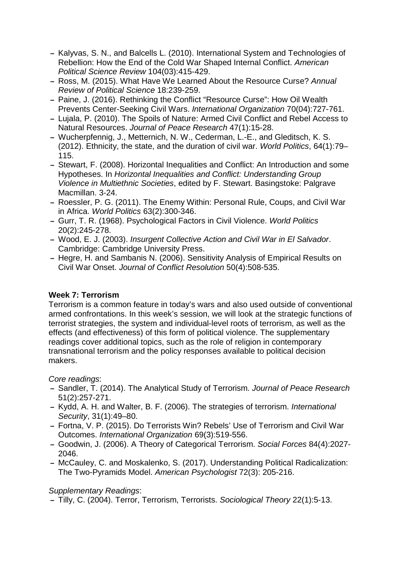- **–** Kalyvas, S. N., and Balcells L. (2010). International System and Technologies of Rebellion: How the End of the Cold War Shaped Internal Conflict. *American Political Science Review* 104(03):415-429.
- **–** Ross, M. (2015). What Have We Learned About the Resource Curse? *Annual Review of Political Science* 18:239-259.
- **–** Paine, J. (2016). Rethinking the Conflict "Resource Curse": How Oil Wealth Prevents Center-Seeking Civil Wars. *International Organization* 70(04):727-761.
- **–** Lujala, P. (2010). The Spoils of Nature: Armed Civil Conflict and Rebel Access to Natural Resources. *Journal of Peace Research* 47(1):15-28.
- **–** Wucherpfennig, J., Metternich, N. W., Cederman, L.-E., and Gleditsch, K. S. (2012). Ethnicity, the state, and the duration of civil war. *World Politics*, 64(1):79– 115.
- **–** Stewart, F. (2008). Horizontal Inequalities and Conflict: An Introduction and some Hypotheses. In *Horizontal Inequalities and Conflict: Understanding Group Violence in Multiethnic Societies*, edited by F. Stewart. Basingstoke: Palgrave Macmillan. 3-24.
- **–** Roessler, P. G. (2011). The Enemy Within: Personal Rule, Coups, and Civil War in Africa. *World Politics* 63(2):300-346.
- **–** Gurr, T. R. (1968). Psychological Factors in Civil Violence. *World Politics* 20(2):245-278.
- **–** Wood, E. J. (2003). *Insurgent Collective Action and Civil War in El Salvador*. Cambridge: Cambridge University Press.
- **–** Hegre, H. and Sambanis N. (2006). Sensitivity Analysis of Empirical Results on Civil War Onset. *Journal of Conflict Resolution* 50(4):508-535.

### **Week 7: Terrorism**

Terrorism is a common feature in today's wars and also used outside of conventional armed confrontations. In this week's session, we will look at the strategic functions of terrorist strategies, the system and individual-level roots of terrorism, as well as the effects (and effectiveness) of this form of political violence. The supplementary readings cover additional topics, such as the role of religion in contemporary transnational terrorism and the policy responses available to political decision makers.

#### *Core readings*:

- **–** Sandler, T. (2014). The Analytical Study of Terrorism. *Journal of Peace Research* 51(2):257-271.
- **–** Kydd, A. H. and Walter, B. F. (2006). The strategies of terrorism. *International Security*, 31(1):49–80.
- **–** Fortna, V. P. (2015). Do Terrorists Win? Rebels' Use of Terrorism and Civil War Outcomes. *International Organization* 69(3):519-556.
- **–** Goodwin, J. (2006). A Theory of Categorical Terrorism. *Social Forces* 84(4):2027- 2046.
- **–** McCauley, C. and Moskalenko, S. (2017). Understanding Political Radicalization: The Two-Pyramids Model. *American Psychologist* 72(3): 205-216.

### *Supplementary Readings*:

**–** Tilly, C. (2004). Terror, Terrorism, Terrorists. *Sociological Theory* 22(1):5-13.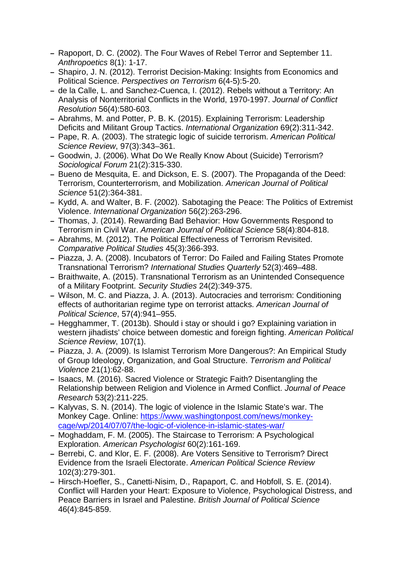- **–** Rapoport, D. C. (2002). The Four Waves of Rebel Terror and September 11. *Anthropoetics* 8(1): 1-17.
- **–** Shapiro, J. N. (2012). Terrorist Decision-Making: Insights from Economics and Political Science. *Perspectives on Terrorism* 6(4-5):5-20.
- **–** de la Calle, L. and Sanchez-Cuenca, I. (2012). Rebels without a Territory: An Analysis of Nonterritorial Conflicts in the World, 1970-1997. *Journal of Conflict Resolution* 56(4):580-603.
- **–** Abrahms, M. and Potter, P. B. K. (2015). Explaining Terrorism: Leadership Deficits and Militant Group Tactics. *International Organization* 69(2):311-342.
- **–** Pape, R. A. (2003). The strategic logic of suicide terrorism. *American Political Science Review*, 97(3):343–361.
- **–** Goodwin, J. (2006). What Do We Really Know About (Suicide) Terrorism? *Sociological Forum* 21(2):315-330.
- **–** Bueno de Mesquita, E. and Dickson, E. S. (2007). The Propaganda of the Deed: Terrorism, Counterterrorism, and Mobilization. *American Journal of Political Science* 51(2):364-381.
- **–** Kydd, A. and Walter, B. F. (2002). Sabotaging the Peace: The Politics of Extremist Violence. *International Organization* 56(2):263-296.
- **–** Thomas, J. (2014). Rewarding Bad Behavior: How Governments Respond to Terrorism in Civil War. *American Journal of Political Science* 58(4):804-818.
- **–** Abrahms, M. (2012). The Political Effectiveness of Terrorism Revisited. *Comparative Political Studies* 45(3):366-393.
- **–** Piazza, J. A. (2008). Incubators of Terror: Do Failed and Failing States Promote Transnational Terrorism? *International Studies Quarterly* 52(3):469–488.
- **–** Braithwaite, A. (2015). Transnational Terrorism as an Unintended Consequence of a Military Footprint. *Security Studies* 24(2):349-375.
- **–** Wilson, M. C. and Piazza, J. A. (2013). Autocracies and terrorism: Conditioning effects of authoritarian regime type on terrorist attacks. *American Journal of Political Science*, 57(4):941–955.
- **–** Hegghammer, T. (2013b). Should i stay or should i go? Explaining variation in western jihadists' choice between domestic and foreign fighting. *American Political Science Review*, 107(1).
- **–** Piazza, J. A. (2009). Is Islamist Terrorism More Dangerous?: An Empirical Study of Group Ideology, Organization, and Goal Structure. *Terrorism and Political Violence* 21(1):62-88.
- **–** Isaacs, M. (2016). Sacred Violence or Strategic Faith? Disentangling the Relationship between Religion and Violence in Armed Conflict. *Journal of Peace Research* 53(2):211-225.
- **–** Kalyvas, S. N. (2014). The logic of violence in the Islamic State's war. The Monkey Cage. Online: [https://www.washingtonpost.com/news/monkey](https://www.washingtonpost.com/news/monkey-cage/wp/2014/07/07/the-logic-of-violence-in-islamic-states-war/)[cage/wp/2014/07/07/the-logic-of-violence-in-islamic-states-war/](https://www.washingtonpost.com/news/monkey-cage/wp/2014/07/07/the-logic-of-violence-in-islamic-states-war/)
- **–** Moghaddam, F. M. (2005). The Staircase to Terrorism: A Psychological Exploration. *American Psychologist* 60(2):161-169.
- **–** Berrebi, C. and Klor, E. F. (2008). Are Voters Sensitive to Terrorism? Direct Evidence from the Israeli Electorate. *American Political Science Review* 102(3):279-301.
- **–** Hirsch-Hoefler, S., Canetti-Nisim, D., Rapaport, C. and Hobfoll, S. E. (2014). Conflict will Harden your Heart: Exposure to Violence, Psychological Distress, and Peace Barriers in Israel and Palestine. *British Journal of Political Science* 46(4):845-859.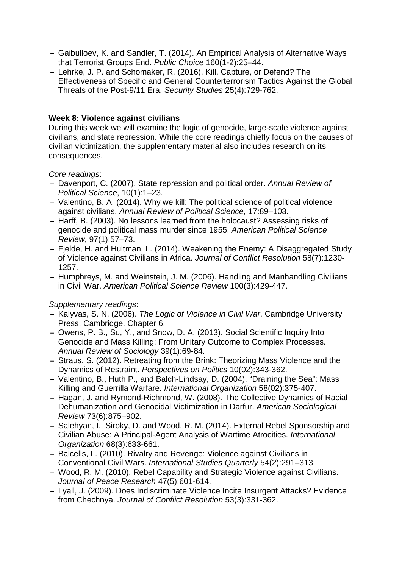- **–** Gaibulloev, K. and Sandler, T. (2014). An Empirical Analysis of Alternative Ways that Terrorist Groups End. *Public Choice* 160(1-2):25–44.
- **–** Lehrke, J. P. and Schomaker, R. (2016). Kill, Capture, or Defend? The Effectiveness of Specific and General Counterterrorism Tactics Against the Global Threats of the Post-9/11 Era. *Security Studies* 25(4):729-762.

#### **Week 8: Violence against civilians**

During this week we will examine the logic of genocide, large-scale violence against civilians, and state repression. While the core readings chiefly focus on the causes of civilian victimization, the supplementary material also includes research on its consequences.

*Core readings*:

- **–** Davenport, C. (2007). State repression and political order. *Annual Review of Political Science*, 10(1):1–23.
- **–** Valentino, B. A. (2014). Why we kill: The political science of political violence against civilians. *Annual Review of Political Science*, 17:89–103.
- **–** Harff, B. (2003). No lessons learned from the holocaust? Assessing risks of genocide and political mass murder since 1955. *American Political Science Review*, 97(1):57–73.
- **–** Fjelde, H. and Hultman, L. (2014). Weakening the Enemy: A Disaggregated Study of Violence against Civilians in Africa. *Journal of Conflict Resolution* 58(7):1230- 1257.
- **–** Humphreys, M. and Weinstein, J. M. (2006). Handling and Manhandling Civilians in Civil War. *American Political Science Review* 100(3):429-447.

- **–** Kalyvas, S. N. (2006). *The Logic of Violence in Civil War*. Cambridge University Press, Cambridge. Chapter 6.
- **–** Owens, P. B., Su, Y., and Snow, D. A. (2013). Social Scientific Inquiry Into Genocide and Mass Killing: From Unitary Outcome to Complex Processes. *Annual Review of Sociology* 39(1):69-84.
- **–** Straus, S. (2012). Retreating from the Brink: Theorizing Mass Violence and the Dynamics of Restraint. *Perspectives on Politics* 10(02):343-362.
- **–** Valentino, B., Huth P., and Balch-Lindsay, D. (2004). "Draining the Sea": Mass Killing and Guerrilla Warfare. *International Organization* 58(02):375-407.
- **–** Hagan, J. and Rymond-Richmond, W. (2008). The Collective Dynamics of Racial Dehumanization and Genocidal Victimization in Darfur. *American Sociological Review* 73(6):875–902.
- **–** Salehyan, I., Siroky, D. and Wood, R. M. (2014). External Rebel Sponsorship and Civilian Abuse: A Principal-Agent Analysis of Wartime Atrocities. *International Organization* 68(3):633-661.
- **–** Balcells, L. (2010). Rivalry and Revenge: Violence against Civilians in Conventional Civil Wars. *International Studies Quarterly* 54(2):291–313.
- **–** Wood, R. M. (2010). Rebel Capability and Strategic Violence against Civilians. *Journal of Peace Research* 47(5):601-614.
- **–** Lyall, J. (2009). Does Indiscriminate Violence Incite Insurgent Attacks? Evidence from Chechnya. *Journal of Conflict Resolution* 53(3):331-362.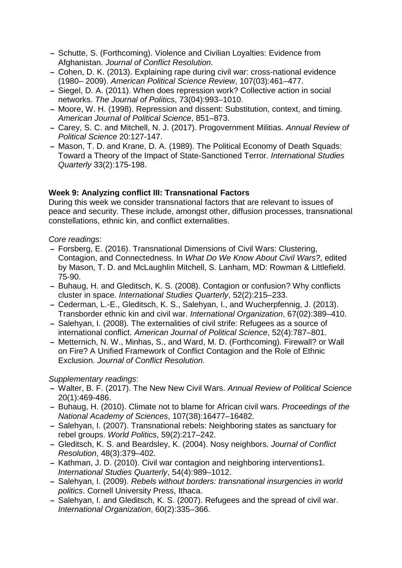- **–** Schutte, S. (Forthcoming). Violence and Civilian Loyalties: Evidence from Afghanistan. *Journal of Conflict Resolution*.
- **–** Cohen, D. K. (2013). Explaining rape during civil war: cross-national evidence (1980– 2009). *American Political Science Review*, 107(03):461–477.
- **–** Siegel, D. A. (2011). When does repression work? Collective action in social networks. *The Journal of Politics*, 73(04):993–1010.
- **–** Moore, W. H. (1998). Repression and dissent: Substitution, context, and timing. *American Journal of Political Science*, 851–873.
- **–** Carey, S. C. and Mitchell, N. J. (2017). Progovernment Militias. *Annual Review of Political Science* 20:127-147.
- **–** Mason, T. D. and Krane, D. A. (1989). The Political Economy of Death Squads: Toward a Theory of the Impact of State-Sanctioned Terror. *International Studies Quarterly* 33(2):175-198.

#### **Week 9: Analyzing conflict III: Transnational Factors**

During this week we consider transnational factors that are relevant to issues of peace and security. These include, amongst other, diffusion processes, transnational constellations, ethnic kin, and conflict externalities.

#### *Core readings*:

- **–** Forsberg, E. (2016). Transnational Dimensions of Civil Wars: Clustering, Contagion, and Connectedness. In *What Do We Know About Civil Wars?*, edited by Mason, T. D. and McLaughlin Mitchell, S. Lanham, MD: Rowman & Littlefield. 75-90.
- **–** Buhaug, H. and Gleditsch, K. S. (2008). Contagion or confusion? Why conflicts cluster in space. *International Studies Quarterly*, 52(2):215–233.
- **–** Cederman, L.-E., Gleditsch, K. S., Salehyan, I., and Wucherpfennig, J. (2013). Transborder ethnic kin and civil war. *International Organization*, 67(02):389–410.
- **–** Salehyan, I. (2008). The externalities of civil strife: Refugees as a source of international conflict. *American Journal of Political Science*, 52(4):787–801.
- **–** Metternich, N. W., Minhas, S., and Ward, M. D. (Forthcoming). Firewall? or Wall on Fire? A Unified Framework of Conflict Contagion and the Role of Ethnic Exclusion. *Journal of Conflict Resolution*.

- **–** Walter, B. F. (2017). The New New Civil Wars. *Annual Review of Political Science* 20(1):469-486.
- **–** Buhaug, H. (2010). Climate not to blame for African civil wars. *Proceedings of the National Academy of Sciences*, 107(38):16477–16482.
- **–** Salehyan, I. (2007). Transnational rebels: Neighboring states as sanctuary for rebel groups. *World Politics*, 59(2):217–242.
- **–** Gleditsch, K. S. and Beardsley, K. (2004). Nosy neighbors. *Journal of Conflict Resolution*, 48(3):379–402.
- **–** Kathman, J. D. (2010). Civil war contagion and neighboring interventions1. *International Studies Quarterly*, 54(4):989–1012.
- **–** Salehyan, I. (2009). *Rebels without borders: transnational insurgencies in world politics*. Cornell University Press, Ithaca.
- **–** Salehyan, I. and Gleditsch, K. S. (2007). Refugees and the spread of civil war. *International Organization*, 60(2):335–366.